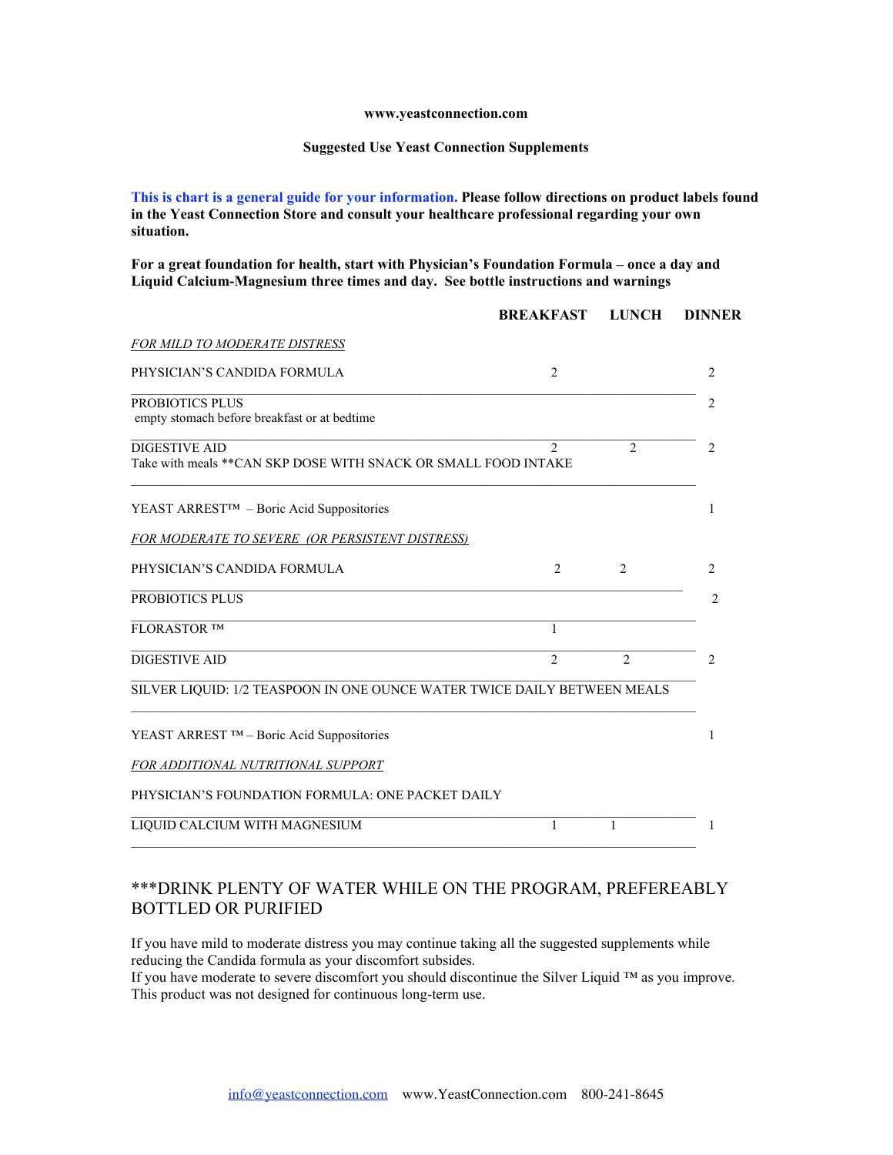## **www.yeastconnection.com**

## **Suggested Use Yeast Connection Supplements**

**This is chart is a general guide for your information. Please follow directions on product labels found in the Yeast Connection Store and consult your healthcare professional regarding your own situation.**

**For a great foundation for health, start with Physician's Foundation Formula – once a day and Liquid Calcium-Magnesium three times and day. See bottle instructions and warnings**

|                                                                                         | <b>BREAKFAST</b> | <b>LUNCH</b>   | <b>DINNER</b>  |
|-----------------------------------------------------------------------------------------|------------------|----------------|----------------|
| <i>FOR MILD TO MODERATE DISTRESS</i>                                                    |                  |                |                |
| PHYSICIAN'S CANDIDA FORMULA                                                             | $\overline{2}$   |                | 2              |
| PROBIOTICS PLUS<br>empty stomach before breakfast or at bedtime                         |                  |                | $\mathfrak{D}$ |
| <b>DIGESTIVE AID</b><br>Take with meals ** CAN SKP DOSE WITH SNACK OR SMALL FOOD INTAKE | $\mathfrak{D}$   | $\overline{2}$ | 2              |
| YEAST ARREST™ – Boric Acid Suppositories                                                |                  |                | 1              |
| FOR MODERATE TO SEVERE (OR PERSISTENT DISTRESS)                                         |                  |                |                |
| PHYSICIAN'S CANDIDA FORMULA                                                             | $\overline{2}$   | $\overline{2}$ | 2              |
| PROBIOTICS PLUS                                                                         |                  |                | 2              |
| FLORASTOR TM                                                                            | 1                |                |                |
| <b>DIGESTIVE AID</b>                                                                    | $\mathfrak{D}$   | $\mathfrak{D}$ | $\mathfrak{D}$ |
| SILVER LIQUID: 1/2 TEASPOON IN ONE OUNCE WATER TWICE DAILY BETWEEN MEALS                |                  |                |                |
| YEAST ARREST $TM - Boric$ Acid Suppositories                                            |                  |                |                |
| FOR ADDITIONAL NUTRITIONAL SUPPORT                                                      |                  |                |                |
| PHYSICIAN'S FOUNDATION FORMULA: ONE PACKET DAILY                                        |                  |                |                |
| LIQUID CALCIUM WITH MAGNESIUM                                                           | 1                | 1              |                |

## \*\*\*DRINK PLENTY OF WATER WHILE ON THE PROGRAM, PREFEREABLY BOTTLED OR PURIFIED

If you have mild to moderate distress you may continue taking all the suggested supplements while reducing the Candida formula as your discomfort subsides.

If you have moderate to severe discomfort you should discontinue the Silver Liquid ™ as you improve. This product was not designed for continuous long-term use.